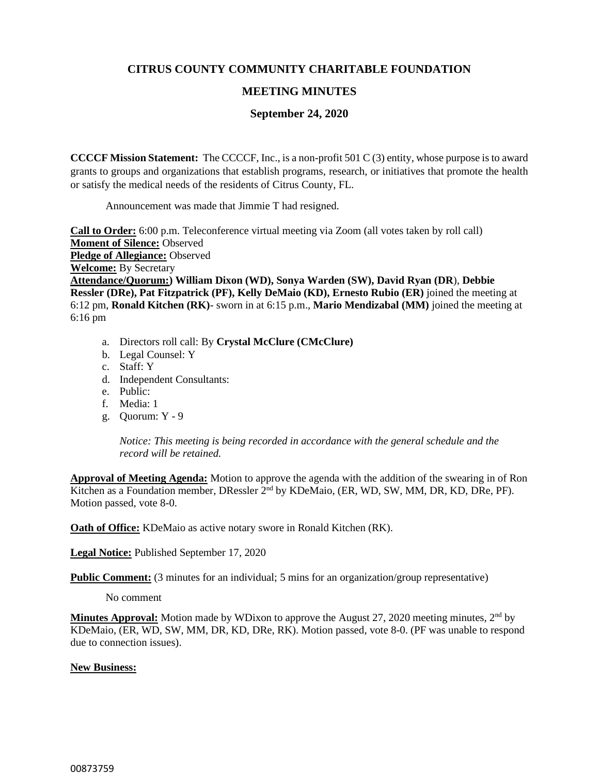## **CITRUS COUNTY COMMUNITY CHARITABLE FOUNDATION**

## **MEETING MINUTES**

## **September 24, 2020**

**CCCCF Mission Statement:** The CCCCF, Inc., is a non-profit 501 C (3) entity, whose purpose is to award grants to groups and organizations that establish programs, research, or initiatives that promote the health or satisfy the medical needs of the residents of Citrus County, FL.

Announcement was made that Jimmie T had resigned.

**Call to Order:** 6:00 p.m. Teleconference virtual meeting via Zoom (all votes taken by roll call) **Moment of Silence:** Observed **Pledge of Allegiance:** Observed **Welcome:** By Secretary **Attendance/Quorum:) William Dixon (WD), Sonya Warden (SW), David Ryan (DR**), **Debbie Ressler (DRe), Pat Fitzpatrick (PF), Kelly DeMaio (KD), Ernesto Rubio (ER)** joined the meeting at 6:12 pm, **Ronald Kitchen (RK)**- sworn in at 6:15 p.m., **Mario Mendizabal (MM)** joined the meeting at 6:16 pm

- a. Directors roll call: By **Crystal McClure (CMcClure)**
- b. Legal Counsel: Y
- c. Staff: Y
- d. Independent Consultants:
- e. Public:
- f. Media: 1
- g. Quorum: Y 9

*Notice: This meeting is being recorded in accordance with the general schedule and the record will be retained.*

**Approval of Meeting Agenda:** Motion to approve the agenda with the addition of the swearing in of Ron Kitchen as a Foundation member, DRessler 2<sup>nd</sup> by KDeMaio, (ER, WD, SW, MM, DR, KD, DRe, PF). Motion passed, vote 8-0.

**Oath of Office:** KDeMaio as active notary swore in Ronald Kitchen (RK).

**Legal Notice:** Published September 17, 2020

**Public Comment:** (3 minutes for an individual; 5 mins for an organization/group representative)

No comment

**Minutes Approval:** Motion made by WDixon to approve the August 27, 2020 meeting minutes, 2<sup>nd</sup> by KDeMaio, (ER, WD, SW, MM, DR, KD, DRe, RK). Motion passed, vote 8-0. (PF was unable to respond due to connection issues).

## **New Business:**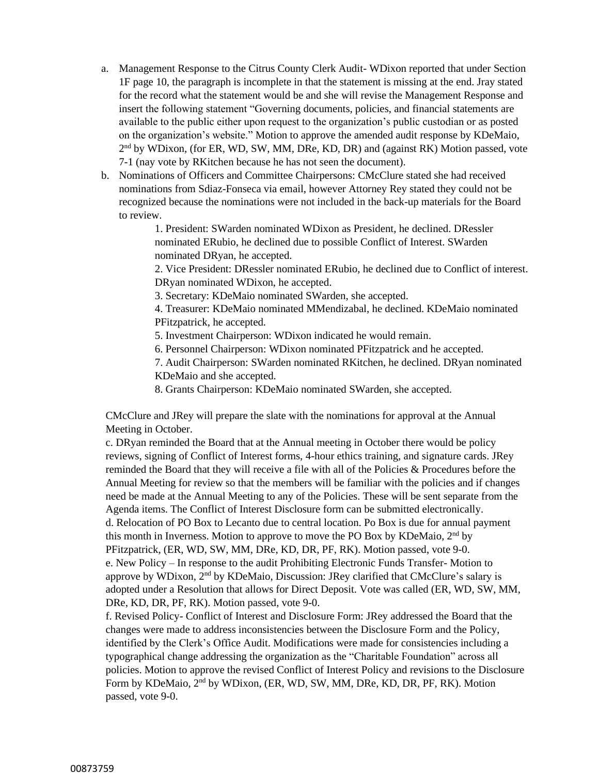- a. Management Response to the Citrus County Clerk Audit- WDixon reported that under Section 1F page 10, the paragraph is incomplete in that the statement is missing at the end. Jray stated for the record what the statement would be and she will revise the Management Response and insert the following statement "Governing documents, policies, and financial statements are available to the public either upon request to the organization's public custodian or as posted on the organization's website." Motion to approve the amended audit response by KDeMaio, 2<sup>nd</sup> by WDixon, (for ER, WD, SW, MM, DRe, KD, DR) and (against RK) Motion passed, vote 7-1 (nay vote by RKitchen because he has not seen the document).
- b. Nominations of Officers and Committee Chairpersons: CMcClure stated she had received nominations from Sdiaz-Fonseca via email, however Attorney Rey stated they could not be recognized because the nominations were not included in the back-up materials for the Board to review.

1. President: SWarden nominated WDixon as President, he declined. DRessler nominated ERubio, he declined due to possible Conflict of Interest. SWarden nominated DRyan, he accepted.

2. Vice President: DRessler nominated ERubio, he declined due to Conflict of interest. DRyan nominated WDixon, he accepted.

3. Secretary: KDeMaio nominated SWarden, she accepted.

4. Treasurer: KDeMaio nominated MMendizabal, he declined. KDeMaio nominated PFitzpatrick, he accepted.

5. Investment Chairperson: WDixon indicated he would remain.

6. Personnel Chairperson: WDixon nominated PFitzpatrick and he accepted.

7. Audit Chairperson: SWarden nominated RKitchen, he declined. DRyan nominated KDeMaio and she accepted.

8. Grants Chairperson: KDeMaio nominated SWarden, she accepted.

CMcClure and JRey will prepare the slate with the nominations for approval at the Annual Meeting in October.

c. DRyan reminded the Board that at the Annual meeting in October there would be policy reviews, signing of Conflict of Interest forms, 4-hour ethics training, and signature cards. JRey reminded the Board that they will receive a file with all of the Policies & Procedures before the Annual Meeting for review so that the members will be familiar with the policies and if changes need be made at the Annual Meeting to any of the Policies. These will be sent separate from the Agenda items. The Conflict of Interest Disclosure form can be submitted electronically. d. Relocation of PO Box to Lecanto due to central location. Po Box is due for annual payment this month in Inverness. Motion to approve to move the PO Box by KDeMaio, 2nd by PFitzpatrick, (ER, WD, SW, MM, DRe, KD, DR, PF, RK). Motion passed, vote 9-0. e. New Policy – In response to the audit Prohibiting Electronic Funds Transfer- Motion to approve by WDixon, 2nd by KDeMaio, Discussion: JRey clarified that CMcClure's salary is adopted under a Resolution that allows for Direct Deposit. Vote was called (ER, WD, SW, MM, DRe, KD, DR, PF, RK). Motion passed, vote 9-0.

f. Revised Policy- Conflict of Interest and Disclosure Form: JRey addressed the Board that the changes were made to address inconsistencies between the Disclosure Form and the Policy, identified by the Clerk's Office Audit. Modifications were made for consistencies including a typographical change addressing the organization as the "Charitable Foundation" across all policies. Motion to approve the revised Conflict of Interest Policy and revisions to the Disclosure Form by KDeMaio, 2<sup>nd</sup> by WDixon, (ER, WD, SW, MM, DRe, KD, DR, PF, RK). Motion passed, vote 9-0.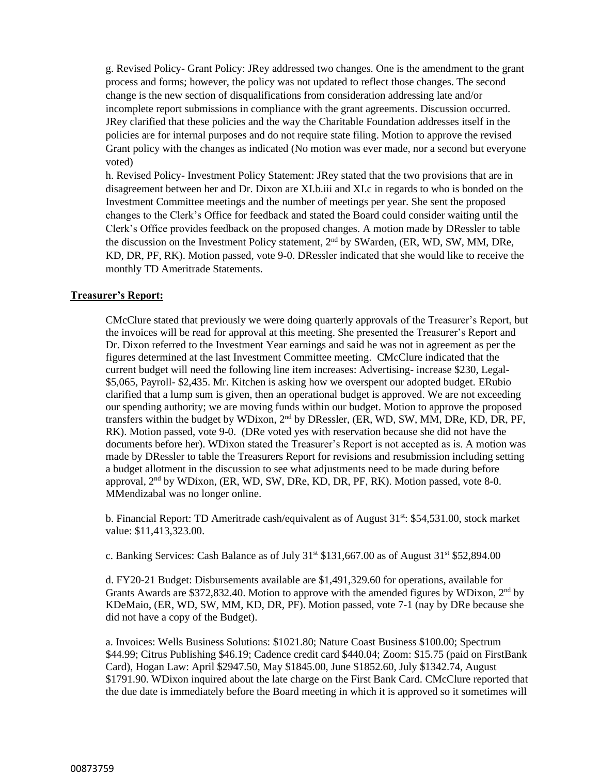g. Revised Policy- Grant Policy: JRey addressed two changes. One is the amendment to the grant process and forms; however, the policy was not updated to reflect those changes. The second change is the new section of disqualifications from consideration addressing late and/or incomplete report submissions in compliance with the grant agreements. Discussion occurred. JRey clarified that these policies and the way the Charitable Foundation addresses itself in the policies are for internal purposes and do not require state filing. Motion to approve the revised Grant policy with the changes as indicated (No motion was ever made, nor a second but everyone voted)

h. Revised Policy- Investment Policy Statement: JRey stated that the two provisions that are in disagreement between her and Dr. Dixon are XI.b.iii and XI.c in regards to who is bonded on the Investment Committee meetings and the number of meetings per year. She sent the proposed changes to the Clerk's Office for feedback and stated the Board could consider waiting until the Clerk's Office provides feedback on the proposed changes. A motion made by DRessler to table the discussion on the Investment Policy statement, 2<sup>nd</sup> by SWarden, (ER, WD, SW, MM, DRe, KD, DR, PF, RK). Motion passed, vote 9-0. DRessler indicated that she would like to receive the monthly TD Ameritrade Statements.

#### **Treasurer's Report:**

CMcClure stated that previously we were doing quarterly approvals of the Treasurer's Report, but the invoices will be read for approval at this meeting. She presented the Treasurer's Report and Dr. Dixon referred to the Investment Year earnings and said he was not in agreement as per the figures determined at the last Investment Committee meeting. CMcClure indicated that the current budget will need the following line item increases: Advertising- increase \$230, Legal- \$5,065, Payroll- \$2,435. Mr. Kitchen is asking how we overspent our adopted budget. ERubio clarified that a lump sum is given, then an operational budget is approved. We are not exceeding our spending authority; we are moving funds within our budget. Motion to approve the proposed transfers within the budget by WDixon,  $2<sup>nd</sup>$  by DRessler, (ER, WD, SW, MM, DRe, KD, DR, PF, RK). Motion passed, vote 9-0. (DRe voted yes with reservation because she did not have the documents before her). WDixon stated the Treasurer's Report is not accepted as is. A motion was made by DRessler to table the Treasurers Report for revisions and resubmission including setting a budget allotment in the discussion to see what adjustments need to be made during before approval, 2<sup>nd</sup> by WDixon, (ER, WD, SW, DRe, KD, DR, PF, RK). Motion passed, vote 8-0. MMendizabal was no longer online.

b. Financial Report: TD Ameritrade cash/equivalent as of August 31<sup>st</sup>: \$54,531.00, stock market value: \$11,413,323.00.

c. Banking Services: Cash Balance as of July  $31<sup>st</sup>$  \$131,667.00 as of August  $31<sup>st</sup>$  \$52,894.00

d. FY20-21 Budget: Disbursements available are \$1,491,329.60 for operations, available for Grants Awards are \$372,832.40. Motion to approve with the amended figures by WDixon,  $2<sup>nd</sup>$  by KDeMaio, (ER, WD, SW, MM, KD, DR, PF). Motion passed, vote 7-1 (nay by DRe because she did not have a copy of the Budget).

a. Invoices: Wells Business Solutions: \$1021.80; Nature Coast Business \$100.00; Spectrum \$44.99; Citrus Publishing \$46.19; Cadence credit card \$440.04; Zoom: \$15.75 (paid on FirstBank Card), Hogan Law: April \$2947.50, May \$1845.00, June \$1852.60, July \$1342.74, August \$1791.90. WDixon inquired about the late charge on the First Bank Card. CMcClure reported that the due date is immediately before the Board meeting in which it is approved so it sometimes will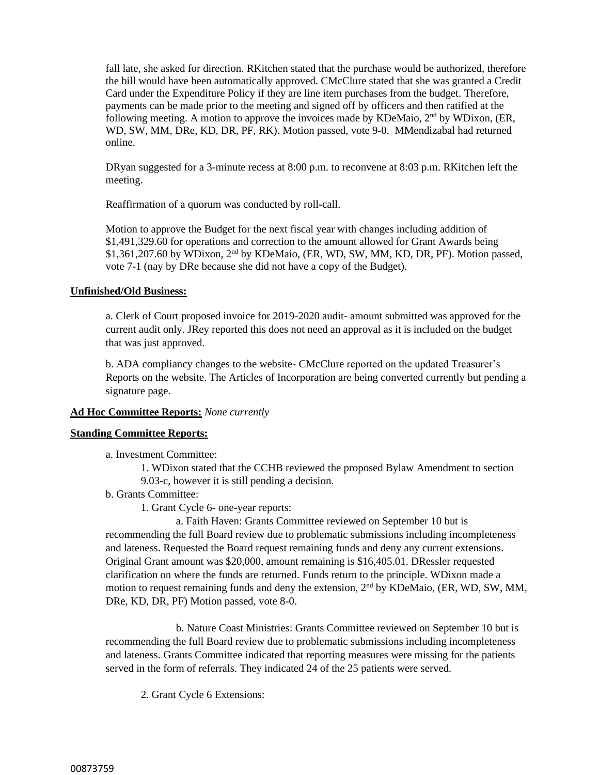fall late, she asked for direction. RKitchen stated that the purchase would be authorized, therefore the bill would have been automatically approved. CMcClure stated that she was granted a Credit Card under the Expenditure Policy if they are line item purchases from the budget. Therefore, payments can be made prior to the meeting and signed off by officers and then ratified at the following meeting. A motion to approve the invoices made by KDeMaio,  $2<sup>nd</sup>$  by WDixon, (ER, WD, SW, MM, DRe, KD, DR, PF, RK). Motion passed, vote 9-0. MMendizabal had returned online.

DRyan suggested for a 3-minute recess at 8:00 p.m. to reconvene at 8:03 p.m. RKitchen left the meeting.

Reaffirmation of a quorum was conducted by roll-call.

Motion to approve the Budget for the next fiscal year with changes including addition of \$1,491,329.60 for operations and correction to the amount allowed for Grant Awards being  $$1,361,207.60$  by WDixon,  $2<sup>nd</sup>$  by KDeMaio, (ER, WD, SW, MM, KD, DR, PF). Motion passed, vote 7-1 (nay by DRe because she did not have a copy of the Budget).

#### **Unfinished/Old Business:**

a. Clerk of Court proposed invoice for 2019-2020 audit- amount submitted was approved for the current audit only. JRey reported this does not need an approval as it is included on the budget that was just approved.

b. ADA compliancy changes to the website- CMcClure reported on the updated Treasurer's Reports on the website. The Articles of Incorporation are being converted currently but pending a signature page.

### **Ad Hoc Committee Reports:** *None currently*

### **Standing Committee Reports:**

a. Investment Committee:

1. WDixon stated that the CCHB reviewed the proposed Bylaw Amendment to section 9.03-c, however it is still pending a decision.

b. Grants Committee:

1. Grant Cycle 6- one-year reports:

a. Faith Haven: Grants Committee reviewed on September 10 but is recommending the full Board review due to problematic submissions including incompleteness and lateness. Requested the Board request remaining funds and deny any current extensions. Original Grant amount was \$20,000, amount remaining is \$16,405.01. DRessler requested clarification on where the funds are returned. Funds return to the principle. WDixon made a motion to request remaining funds and deny the extension,  $2<sup>nd</sup>$  by KDeMaio, (ER, WD, SW, MM, DRe, KD, DR, PF) Motion passed, vote 8-0.

b. Nature Coast Ministries: Grants Committee reviewed on September 10 but is recommending the full Board review due to problematic submissions including incompleteness and lateness. Grants Committee indicated that reporting measures were missing for the patients served in the form of referrals. They indicated 24 of the 25 patients were served.

2. Grant Cycle 6 Extensions: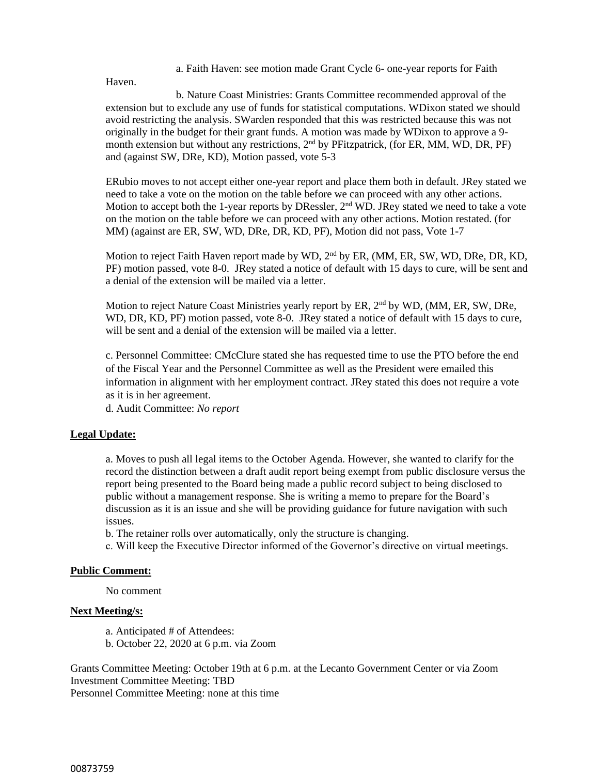a. Faith Haven: see motion made Grant Cycle 6- one-year reports for Faith

Haven.

b. Nature Coast Ministries: Grants Committee recommended approval of the extension but to exclude any use of funds for statistical computations. WDixon stated we should avoid restricting the analysis. SWarden responded that this was restricted because this was not originally in the budget for their grant funds. A motion was made by WDixon to approve a 9 month extension but without any restrictions, 2<sup>nd</sup> by PFitzpatrick, (for ER, MM, WD, DR, PF) and (against SW, DRe, KD), Motion passed, vote 5-3

ERubio moves to not accept either one-year report and place them both in default. JRey stated we need to take a vote on the motion on the table before we can proceed with any other actions. Motion to accept both the 1-year reports by DRessler,  $2<sup>nd</sup>$  WD. JRey stated we need to take a vote on the motion on the table before we can proceed with any other actions. Motion restated. (for MM) (against are ER, SW, WD, DRe, DR, KD, PF), Motion did not pass, Vote 1-7

Motion to reject Faith Haven report made by WD,  $2<sup>nd</sup>$  by ER, (MM, ER, SW, WD, DRe, DR, KD, PF) motion passed, vote 8-0. JRey stated a notice of default with 15 days to cure, will be sent and a denial of the extension will be mailed via a letter.

Motion to reject Nature Coast Ministries yearly report by ER, 2nd by WD, (MM, ER, SW, DRe, WD, DR, KD, PF) motion passed, vote 8-0. JRey stated a notice of default with 15 days to cure, will be sent and a denial of the extension will be mailed via a letter.

c. Personnel Committee: CMcClure stated she has requested time to use the PTO before the end of the Fiscal Year and the Personnel Committee as well as the President were emailed this information in alignment with her employment contract. JRey stated this does not require a vote as it is in her agreement.

d. Audit Committee: *No report*

#### **Legal Update:**

a. Moves to push all legal items to the October Agenda. However, she wanted to clarify for the record the distinction between a draft audit report being exempt from public disclosure versus the report being presented to the Board being made a public record subject to being disclosed to public without a management response. She is writing a memo to prepare for the Board's discussion as it is an issue and she will be providing guidance for future navigation with such issues.

b. The retainer rolls over automatically, only the structure is changing.

c. Will keep the Executive Director informed of the Governor's directive on virtual meetings.

#### **Public Comment:**

No comment

### **Next Meeting/s:**

a. Anticipated # of Attendees:

b. October 22, 2020 at 6 p.m. via Zoom

Grants Committee Meeting: October 19th at 6 p.m. at the Lecanto Government Center or via Zoom Investment Committee Meeting: TBD

Personnel Committee Meeting: none at this time